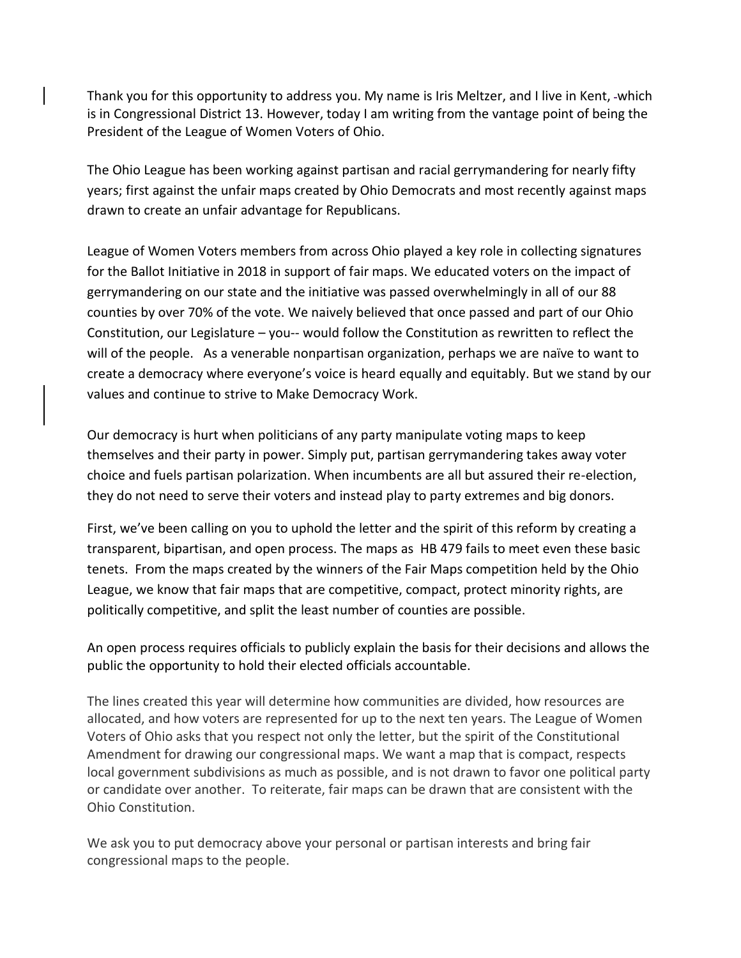Thank you for this opportunity to address you. My name is Iris Meltzer, and I live in Kent, which is in Congressional District 13. However, today I am writing from the vantage point of being the President of the League of Women Voters of Ohio.

The Ohio League has been working against partisan and racial gerrymandering for nearly fifty years; first against the unfair maps created by Ohio Democrats and most recently against maps drawn to create an unfair advantage for Republicans.

League of Women Voters members from across Ohio played a key role in collecting signatures for the Ballot Initiative in 2018 in support of fair maps. We educated voters on the impact of gerrymandering on our state and the initiative was passed overwhelmingly in all of our 88 counties by over 70% of the vote. We naively believed that once passed and part of our Ohio Constitution, our Legislature – you-- would follow the Constitution as rewritten to reflect the will of the people. As a venerable nonpartisan organization, perhaps we are naïve to want to create a democracy where everyone's voice is heard equally and equitably. But we stand by our values and continue to strive to Make Democracy Work.

Our democracy is hurt when politicians of any party manipulate voting maps to keep themselves and their party in power. Simply put, partisan gerrymandering takes away voter choice and fuels partisan polarization. When incumbents are all but assured their re-election, they do not need to serve their voters and instead play to party extremes and big donors.

First, we've been calling on you to uphold the letter and the spirit of this reform by creating a transparent, bipartisan, and open process. The maps as HB 479 fails to meet even these basic tenets. From the maps created by the winners of the Fair Maps competition held by the Ohio League, we know that fair maps that are competitive, compact, protect minority rights, are politically competitive, and split the least number of counties are possible.

An open process requires officials to publicly explain the basis for their decisions and allows the public the opportunity to hold their elected officials accountable.

The lines created this year will determine how communities are divided, how resources are allocated, and how voters are represented for up to the next ten years. The League of Women Voters of Ohio asks that you respect not only the letter, but the spirit of the Constitutional Amendment for drawing our congressional maps. We want a map that is compact, respects local government subdivisions as much as possible, and is not drawn to favor one political party or candidate over another. To reiterate, fair maps can be drawn that are consistent with the Ohio Constitution.

We ask you to put democracy above your personal or partisan interests and bring fair congressional maps to the people.